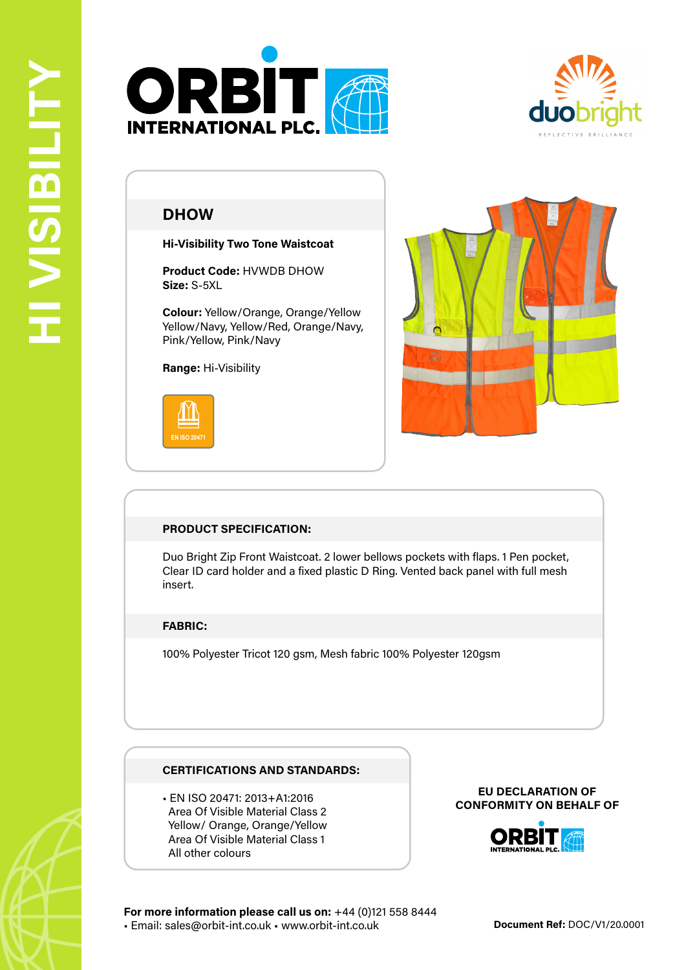



# **DHOW**

**Hi-Visibility Two Tone Waistcoat**

**Product Code:** HVWDB DHOW **Size:** S-5XL

**Colour:** Yellow/Orange, Orange/Yellow Yellow/Navy, Yellow/Red, Orange/Navy, Pink/Yellow, Pink/Navy

**Range:** Hi-Visibility





# **PRODUCT SPECIFICATION:**

Duo Bright Zip Front Waistcoat. 2 lower bellows pockets with flaps. 1 Pen pocket, Clear ID card holder and a fixed plastic D Ring. Vented back panel with full mesh insert.

### **FABRIC:**

100% Polyester Tricot 120 gsm, Mesh fabric 100% Polyester 120gsm

### **CERTIFICATIONS AND STANDARDS:**

• EN ISO 20471: 2013+A1:2016 Area Of Visible Material Class 2 Yellow/ Orange, Orange/Yellow Area Of Visible Material Class 1 All other colours

#### **EU DECLARATION OF CONFORMITY ON BEHALF OF**



**For more information please call us on:** +44 (0)121 558 8444 • Email: sales@orbit-int.co.uk • www.orbit-int.co.uk